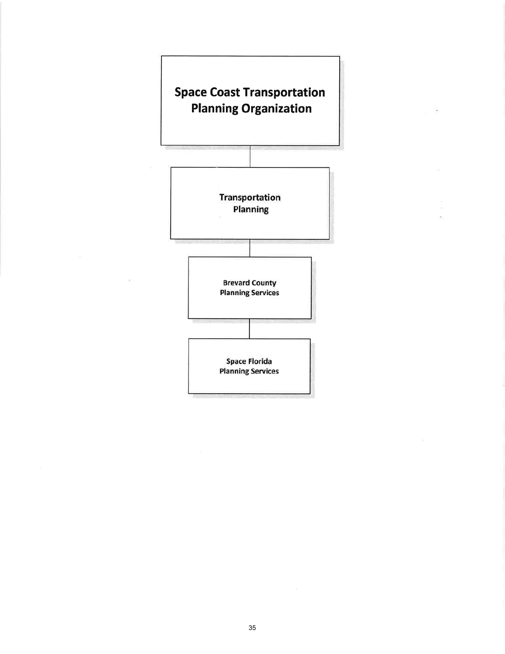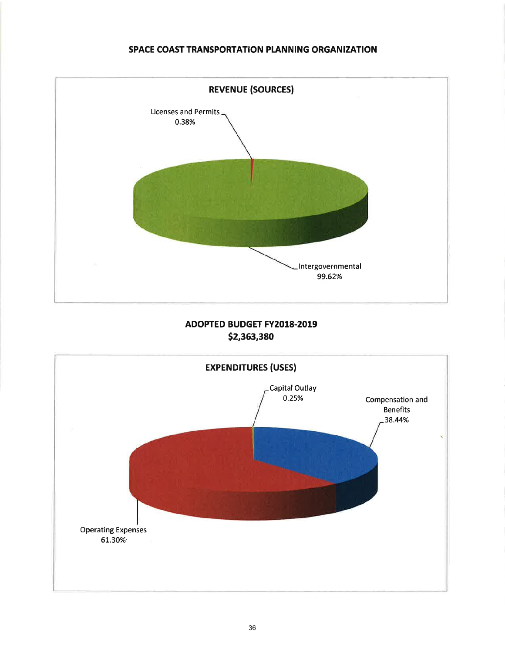## SPACE COAST TRANSPORTATION PLANNING ORGANIZATION



# ADOPTED BUDGET FY2018.2019 s2,363,390

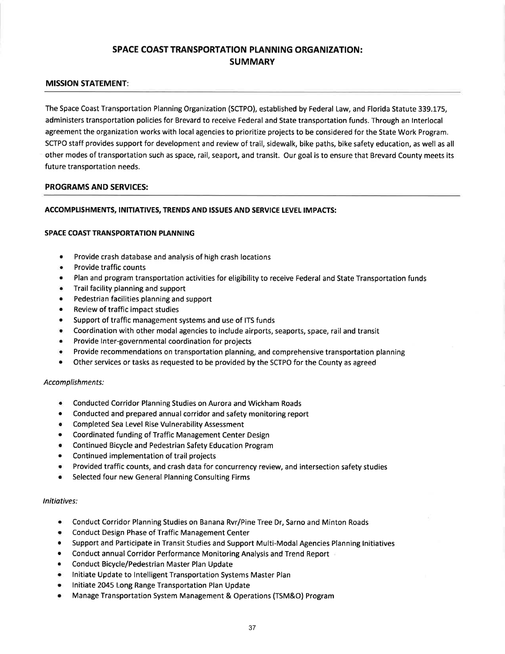# SPACE COAST TRANSPORTATION PLANNING ORGANIZATION: **SUMMARY**

### MISSION STATEMENT:

The Space Coast Transportation Planning Organization (SCTPO), established by Federal Law, and Florida Statute 339.175, administers transportation policies for Brevard to receive Federal and State transportation funds. Through an lnterlocal agreement the organization works with local agencies to prioritize projects to be considered for the State Work Program. SCTPO staff provides support for development and review of trail, sidewalk, bike paths, bike safety education, as well as all other modes of transportation such as space, rail, seaport, and transit. Our goal is to ensure that Brevard County meets its future transportation needs.

#### PROGRAMS AND SERVICES:

### ACCOMPLISHMENTS, INITIATIVES, TRENDS AND ISSUES AND SERVICE LEVEL IMPACTS:

#### SPACE COAST TRANSPORTATION PLANNING

- Provide crash database and analysis of high crash locations
- Provide traffic counts
- r Plan and program transportation activities for eligibility to receive Federal and State Transportation funds
- r Trail facility planning and support
- Pedestrian facilities planning and support
- Review of traffic impact studies
- . Support of traffic management systems and use of ITS funds
- o Coordination with other modal agencies to include airports, seaports, space, rail and transit
- Provide Inter-governmental coordination for projects
- r Provide recommendations on transportation planning, and comprehensive transportation planning
- Other services or tasks as requested to be provided by the SCTPO for the County as agreed

#### Accomplishments:

- o Conducted Corridor Planning Studies on Aurora and Wickham Roads
- Conducted and prepared annual corridor and safety monitoring report
- Completed Sea Level Rise Vulnerability Assessment
- o Coordinated funding of Traffic Management Center Design
- r Continued Bicycle and Pedestrian Safety Education Program
- Continued implementation of trail projects
- Provided traffic counts, and crash data for concurrency review, and intersection safety studies
- Selected four new General Planning Consulting Firms

#### lnitiatives:

- Conduct Corridor Planning Studies on Banana Rvr/Pine Tree Dr, Sarno and Minton Roads
- Conduct Design Phase of Traffic Management Center
- . Support and Participate in Transit Studies and Support Multi-Modal Agencies Planning lnitiatives
- o Conduct annual Corridor Performance Monitoring Analysis and Trend Report
- o Conduct Bicycle/Pedestrian Master Plan Update
- Initiate Update to Intelligent Transportation Systems Master Plan
- Initiate 2045 Long Range Transportation Plan Update
- . Manage Transportation System Management & Operations (TSM&O) Program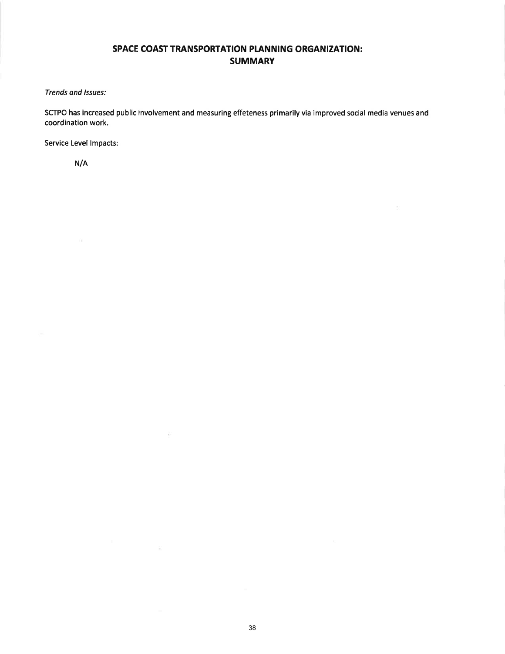# SPACE COAST TRANSPORTATION PLANNING ORGANIZATION: SUMMARY

Trends and lssues:

SCTPO has increased public involvement and measuring effeteness primarily via improved social media venues and coordination work.

 $\sim$ 

Service Level lmpacts:

N/A

 $\mathcal{L}$ 

 $\widetilde{\mathbf{x}}$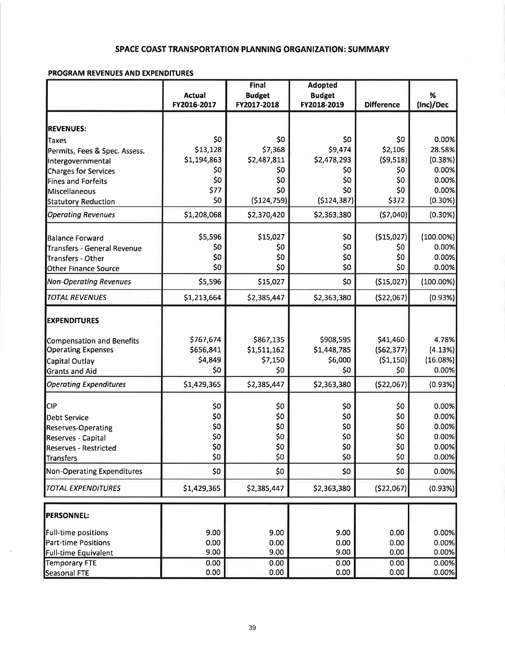## SPACE COAST TRANSPORTATION PLANNING ORGANIZATION: SUMMARY

#### PROGRAM REVENUES AND EXPENDITURES

|                                                    |               | Final         |               |                   |              |
|----------------------------------------------------|---------------|---------------|---------------|-------------------|--------------|
|                                                    | <b>Actual</b> | <b>Budget</b> | <b>Budget</b> |                   | %            |
|                                                    | FY2016-2017   | FY2017-2018   | FY2018-2019   | <b>Difference</b> | (Inc)/Dec    |
|                                                    |               |               |               |                   |              |
| <b>REVENUES:</b><br>Taxes                          | \$0           | \$0           | \$0           | \$0               | 0.00%        |
|                                                    | \$13,128      | \$7,368       | \$9,474       | \$2,106           | 28.58%       |
| Permits, Fees & Spec. Assess.<br>Intergovernmental | \$1,194,863   | \$2,487,811   | \$2,478,293   | (59, 518)         | (0.38%)      |
| Charges for Services                               | \$0           | \$0           | \$0           | \$0               | 0.00%        |
| <b>Fines and Forfeits</b>                          | \$0           | \$0           | \$0           | \$0               | 0.00%        |
| Miscellaneous                                      | \$77          | \$0           | \$0           | \$0               | 0.00%        |
| <b>Statutory Reduction</b>                         | \$0           | (5124, 759)   | ( \$124, 387) | \$372             | $(0.30\%)$   |
| <b>Operating Revenues</b>                          | \$1,208,068   | \$2,370,420   | \$2,363,380   | (57,040)          | (0.30%)      |
|                                                    |               |               |               |                   |              |
| <b>Balance Forward</b>                             | \$5,596       | \$15,027      | \$0           | (\$15,027)        | (100.00%)    |
| Transfers - General Revenue                        | \$0           | \$0           | \$0           | \$0               | 0.00%        |
| Transfers - Other                                  | \$0           | \$0           | \$0           | \$0               | 0.00%        |
| Other Finance Source                               | \$0           | \$0           | \$0           | \$0               | 0.00%        |
| <b>Non-Operating Revenues</b>                      | \$5,596       | \$15,027      | \$0           | (\$15,027)        | $(100.00\%)$ |
| <b>TOTAL REVENUES</b>                              | \$1,213,664   | \$2,385,447   | \$2,363,380   | ( \$22,067]       | (0.93%)      |
| <b>EXPENDITURES</b>                                |               |               |               |                   |              |
|                                                    |               |               |               |                   |              |
| Compensation and Benefits                          | \$767,674     | \$867,135     | \$908,595     | \$41,460          | 4.78%        |
| <b>Operating Expenses</b>                          | \$656,841     | \$1,511,162   | \$1,448,785   | (562, 377)        | (4.13%)      |
| Capital Outlay                                     | \$4,849       | \$7,150       | \$6,000       | (51, 150)         | (16.08%)     |
| <b>Grants and Aid</b>                              | \$0           | \$0           | \$0           | \$0               | 0.00%        |
| <b>Operating Expenditures</b>                      | \$1,429,365   | \$2,385,447   | \$2,363,380   | ( \$22,067)       | (0.93%)      |
|                                                    |               |               |               |                   |              |
| <b>CIP</b>                                         | \$0           | \$0           | \$0           | \$0               | 0.00%        |
| Debt Service                                       | \$0           | \$0           | \$0           | \$0               | 0.00%        |
| <b>Reserves-Operating</b>                          | \$0           | \$0           | \$0           | \$0               | 0.00%        |
| Reserves - Capital                                 | \$0           | \$0           | \$0           | \$0               | 0.00%        |
| Reserves - Restricted                              | \$0           | \$0           | \$0           | \$0               | 0.00%        |
| Transfers                                          | \$0           | \$0           | \$0           | \$0               | 0.00%        |
| <b>Non-Operating Expenditures</b>                  | \$0           | \$0           | \$0           | \$0               | 0.00%        |
| <b>TOTAL EXPENDITURES</b>                          | \$1,429,365   | \$2,385,447   | \$2,363,380   | ( \$22,067]       | (0.93%)      |
| <b>PERSONNEL:</b>                                  |               |               |               |                   |              |
|                                                    |               |               |               |                   |              |
| Full-time positions                                | 9.00          | 9.00          | 9.00          | 0.00              | 0.00%        |
| <b>Part-time Positions</b>                         | 0.00          | 0.00          | 0.00          | 0.00              | 0.00%        |
| <b>Full-time Equivalent</b>                        | 9.00          | 9.00          | 9.00          | 0.00              | 0.00%        |
| <b>Temporary FTE</b>                               | 0.00          | 0.00          | 0.00          | 0.00              | 0.00%        |
| Seasonal FTE                                       | 0.00          | 0.00          | 0.00          | 0.00              | 0.00%        |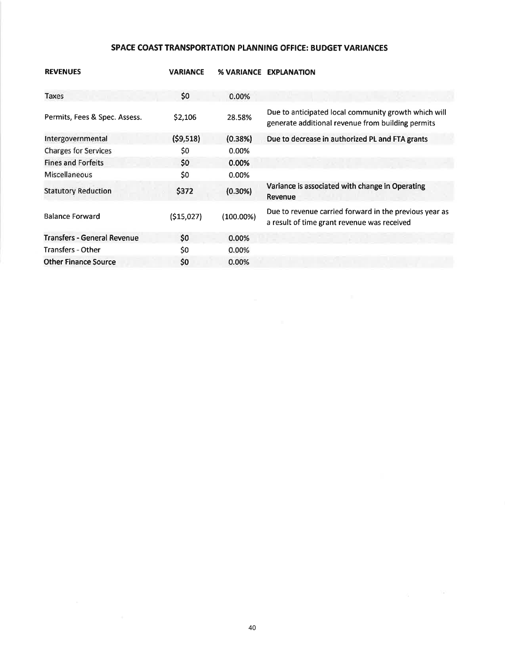# SPACE COAST TRANSPORTATION PLANNING OFFICE: BUDGET VARIANCES

| <b>REVENUES</b>                    | <b>VARIANCE</b> | <b>% VARIANCE</b> | <b>EXPLANATION</b>                                                                                        |
|------------------------------------|-----------------|-------------------|-----------------------------------------------------------------------------------------------------------|
| Taxes                              | \$0             | 0.00%             |                                                                                                           |
| Permits, Fees & Spec. Assess.      | \$2,106         | 28.58%            | Due to anticipated local community growth which will<br>generate additional revenue from building permits |
| Intergovernmental                  | (59, 518)       | (0.38%)           | Due to decrease in authorized PL and FTA grants                                                           |
| <b>Charges for Services</b>        | \$0             | 0.00%             |                                                                                                           |
| <b>Fines and Forfeits</b>          | \$0             | 0.00%             |                                                                                                           |
| Miscellaneous                      | \$0             | 0.00%             |                                                                                                           |
| <b>Statutory Reduction</b>         | \$372           | $(0.30\%)$        | Variance is associated with change in Operating<br>Revenue                                                |
| <b>Balance Forward</b>             | (515,027)       | $(100.00\%)$      | Due to revenue carried forward in the previous year as<br>a result of time grant revenue was received     |
| <b>Transfers - General Revenue</b> | \$0             | 0.00%             |                                                                                                           |
| <b>Transfers - Other</b>           | \$0             | 0.00%             |                                                                                                           |
| <b>Other Finance Source</b>        | \$0             | 0.00%             |                                                                                                           |

 $\sim 100$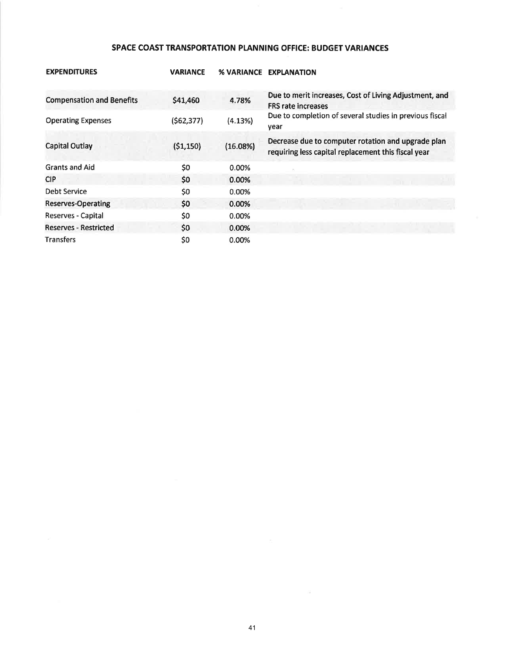# SPACE COAST TRANSPORTATION PLANNING OFFICE: BUDGET VARIANCES

| <b>EXPENDITURES</b>              | <b>VARIANCE</b> | % VARIANCE | <b>EXPLANATION</b>                                                                                        |
|----------------------------------|-----------------|------------|-----------------------------------------------------------------------------------------------------------|
| <b>Compensation and Benefits</b> | \$41,460        | 4.78%      | Due to merit increases, Cost of Living Adjustment, and<br><b>FRS rate increases</b>                       |
| <b>Operating Expenses</b>        | (562, 377)      | (4.13%)    | Due to completion of several studies in previous fiscal<br>year                                           |
| <b>Capital Outlay</b>            | (51, 150)       | (16.08%)   | Decrease due to computer rotation and upgrade plan<br>requiring less capital replacement this fiscal year |
| <b>Grants and Aid</b>            | \$0             | 0.00%      |                                                                                                           |
| <b>CIP</b>                       | \$0             | 0.00%      |                                                                                                           |
| Debt Service                     | \$0             | 0.00%      |                                                                                                           |
| <b>Reserves-Operating</b>        | \$0             | $0.00\%$   |                                                                                                           |
| Reserves - Capital               | \$0             | 0.00%      |                                                                                                           |
| <b>Reserves - Restricted</b>     | \$0             | 0.00%      |                                                                                                           |
| <b>Transfers</b>                 | \$0             | 0.00%      |                                                                                                           |

 $\frac{1}{2}$